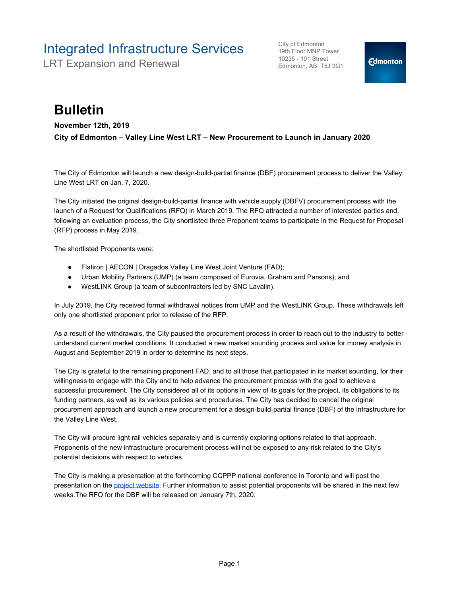## Integrated Infrastructure Services

LRT Expansion and Renewal

City of Edmonton 19th Floor MNP Tower 10235 - 101 Street Edmonton, AB T5J 3G1

## **Bulletin**

**November 12th, 2019**

**City of Edmonton – Valley Line West LRT – New Procurement to Launch in January 2020**

The City of Edmonton will launch a new design-build-partial finance (DBF) procurement process to deliver the Valley Line West LRT on Jan. 7, 2020.

The City initiated the original design-build-partial finance with vehicle supply (DBFV) procurement process with the launch of a Request for Qualifications (RFQ) in March 2019. The RFQ attracted a number of interested parties and, following an evaluation process, the City shortlisted three Proponent teams to participate in the Request for Proposal (RFP) process in May 2019.

The shortlisted Proponents were:

- Flatiron | AECON | Dragados Valley Line West Joint Venture (FAD);
- Urban Mobility Partners (UMP) (a team composed of Eurovia, Graham and Parsons); and
- WestLINK Group (a team of subcontractors led by SNC Lavalin).

In July 2019, the City received formal withdrawal notices from UMP and the WestLINK Group. These withdrawals left only one shortlisted proponent prior to release of the RFP.

As a result of the withdrawals, the City paused the procurement process in order to reach out to the industry to better understand current market conditions. It conducted a new market sounding process and value for money analysis in August and September 2019 in order to determine its next steps.

The City is grateful to the remaining proponent FAD, and to all those that participated in its market sounding, for their willingness to engage with the City and to help advance the procurement process with the goal to achieve a successful procurement. The City considered all of its options in view of its goals for the project, its obligations to its funding partners, as well as its various policies and procedures. The City has decided to cancel the original procurement approach and launch a new procurement for a design-build-partial finance (DBF) of the infrastructure for the Valley Line West.

The City will procure light rail vehicles separately and is currently exploring options related to that approach. Proponents of the new infrastructure procurement process will not be exposed to any risk related to the City's potential decisions with respect to vehicles.

The City is making a presentation at the forthcoming CCPPP national conference in Toronto and will post the presentation on the [project website.](https://www.edmonton.ca/projects_plans/transit/valley-line-west.aspx?utm_source=virtualaddress&utm_campaign=valleylinewest) Further information to assist potential proponents will be shared in the next few weeks.The RFQ for the DBF will be released on January 7th, 2020.